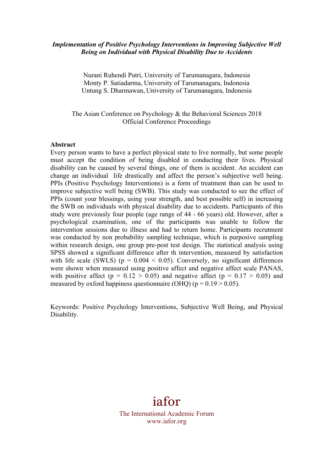#### *Implementation of Positive Psychology Interventions in Improving Subjective Well Being on Individual with Physical Disability Due to Accidents*

Nurani Ruhendi Putri, University of Tarumanagara, Indonesia Monty P. Satiadarma, University of Tarumanagara, Indonesia Untung S. Dharmawan, University of Tarumanagara, Indonesia

The Asian Conference on Psychology & the Behavioral Sciences 2018 Official Conference Proceedings

#### **Abstract**

Every person wants to have a perfect physical state to live normally, but some people must accept the condition of being disabled in conducting their lives. Physical disability can be caused by several things, one of them is accident. An accident can change an individual life drastically and affect the person's subjective well being. PPIs (Positive Psychology Interventions) is a form of treatment than can be used to improve subjective well being (SWB). This study was conducted to see the effect of PPIs (count your blessings, using your strength, and best possible self) in increasing the SWB on individuals with physical disability due to accidents. Participants of this study were previously four people (age range of 44 - 66 years) old. However, after a psychological examination, one of the participants was unable to follow the intervention sessions due to illness and had to return home. Participants recrutment was conducted by non probability sampling technique, which is purposive sampling within research design, one group pre-post test design. The statistical analysis using SPSS showed a significant difference after th intervention, measured by satisfaction with life scale (SWLS) ( $p = 0.004 \le 0.05$ ). Conversely, no significant differences were shown when measured using positive affect and negative affect scale PANAS, with positive affect ( $p = 0.12 > 0.05$ ) and negative affect ( $p = 0.17 > 0.05$ ) and measured by oxford happiness questionnaire (OHQ) ( $p = 0.19 > 0.05$ ).

Keywords: Positive Psychology Interventions, Subjective Well Being, and Physical Disability.

# iafor

The International Academic Forum www.iafor.org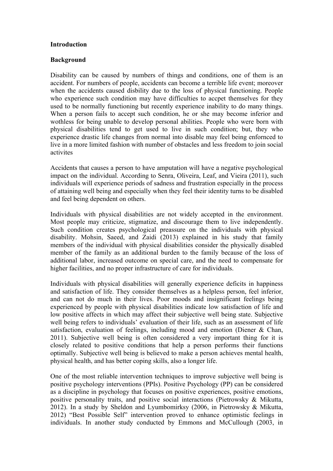#### **Introduction**

#### **Background**

Disability can be caused by numbers of things and conditions, one of them is an accident. For numbers of people, accidents can become a terrible life event; moreover when the accidents caused disbility due to the loss of physical functioning. People who experience such condition may have difficulties to accpet themselves for they used to be normally functioning but recently experience inability to do many things. When a person fails to accept such condition, he or she may become inferior and wothless for being unable to develop personal abilities. People who were born with physical disabilities tend to get used to live in such condition; but, they who experience drastic life changes from normal into disable may feel being enfornced to live in a more limited fashion with number of obstacles and less freedom to join social activites

Accidents that causes a person to have amputation will have a negative psychological impact on the individual. According to Senra, Oliveira, Leaf, and Vieira (2011), such individuals will experience periods of sadness and frustration especially in the process of attaining well being and especially when they feel their identity turns to be disabled and feel being dependent on others.

Individuals with physical disabilities are not widely accepted in the environment. Most people may criticize, stigmatize, and discourage them to live independently. Such condition creates psychological preassure on the individuals with physical disability. Mohsin, Saeed, and Zaidi (2013) explained in his study that family members of the individual with physical disabilities consider the physically disabled member of the family as an additional burden to the family because of the loss of additional labor, increased outcome on special care, and the need to compensate for higher facilities, and no proper infrastructure of care for individuals.

Individuals with physical disabilities will generally experience deficits in happiness and satisfaction of life. They consider themselves as a helpless person, feel inferior, and can not do much in their lives. Poor moods and insignificant feelings being experienced by people with physical disabilities indicate low satisfaction of life and low positive affects in which may affect their subjective well being state. Subjective well being refers to individuals' evaluation of their life, such as an assessment of life satisfaction, evaluation of feelings, including mood and emotion (Diener & Chan, 2011). Subjective well being is often considered a very important thing for it is closely related to positive conditions that help a person performs their functions optimally. Subjective well being is believed to make a person achieves mental health, physical health, and has better coping skills, also a longer life.

One of the most reliable intervention techniques to improve subjective well being is positive psychology interventions (PPIs). Positive Psychology (PP) can be considered as a discipline in psychology that focuses on positive experiences, positive emotions, positive personality traits, and positive social interactions (Pietrowsky & Mikutta, 2012). In a study by Sheldon and Lyumbomirksy (2006, in Pietrowsky & Mikutta, 2012) "Best Possible Self" intervention proved to enhance optimistic feelings in individuals. In another study conducted by Emmons and McCullough (2003, in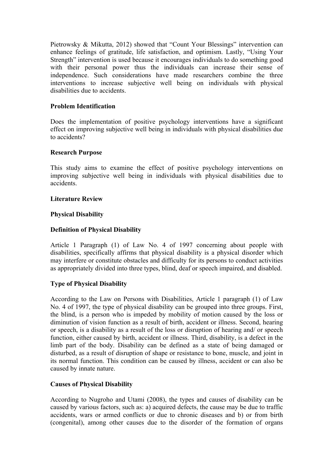Pietrowsky & Mikutta, 2012) showed that "Count Your Blessings" intervention can enhance feelings of gratitude, life satisfaction, and optimism. Lastly, "Using Your Strength" intervention is used because it encourages individuals to do something good with their personal power thus the individuals can increase their sense of independence. Such considerations have made researchers combine the three interventions to increase subjective well being on individuals with physical disabilities due to accidents.

# **Problem Identification**

Does the implementation of positive psychology interventions have a significant effect on improving subjective well being in individuals with physical disabilities due to accidents?

## **Research Purpose**

This study aims to examine the effect of positive psychology interventions on improving subjective well being in individuals with physical disabilities due to accidents.

## **Literature Review**

## **Physical Disability**

## **Definition of Physical Disability**

Article 1 Paragraph (1) of Law No. 4 of 1997 concerning about people with disabilities, specifically affirms that physical disability is a physical disorder which may interfere or constitute obstacles and difficulty for its persons to conduct activities as appropriately divided into three types, blind, deaf or speech impaired, and disabled.

# **Type of Physical Disability**

According to the Law on Persons with Disabilities, Article 1 paragraph (1) of Law No. 4 of 1997, the type of physical disability can be grouped into three groups. First, the blind, is a person who is impeded by mobility of motion caused by the loss or diminution of vision function as a result of birth, accident or illness. Second, hearing or speech, is a disability as a result of the loss or disruption of hearing and/ or speech function, either caused by birth, accident or illness. Third, disability, is a defect in the limb part of the body. Disability can be defined as a state of being damaged or disturbed, as a result of disruption of shape or resistance to bone, muscle, and joint in its normal function. This condition can be caused by illness, accident or can also be caused by innate nature.

# **Causes of Physical Disability**

According to Nugroho and Utami (2008), the types and causes of disability can be caused by various factors, such as: a) acquired defects, the cause may be due to traffic accidents, wars or armed conflicts or due to chronic diseases and b) or from birth (congenital), among other causes due to the disorder of the formation of organs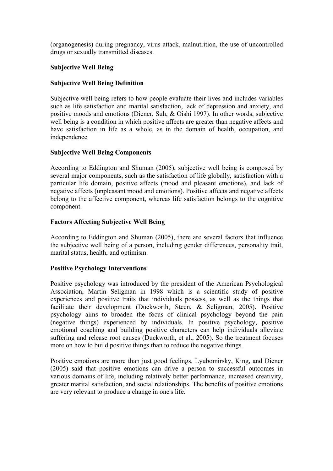(organogenesis) during pregnancy, virus attack, malnutrition, the use of uncontrolled drugs or sexually transmitted diseases.

## **Subjective Well Being**

## **Subjective Well Being Definition**

Subjective well being refers to how people evaluate their lives and includes variables such as life satisfaction and marital satisfaction, lack of depression and anxiety, and positive moods and emotions (Diener, Suh, & Oishi 1997). In other words, subjective well being is a condition in which positive affects are greater than negative affects and have satisfaction in life as a whole, as in the domain of health, occupation, and independence

## **Subjective Well Being Components**

According to Eddington and Shuman (2005), subjective well being is composed by several major components, such as the satisfaction of life globally, satisfaction with a particular life domain, positive affects (mood and pleasant emotions), and lack of negative affects (unpleasant mood and emotions). Positive affects and negative affects belong to the affective component, whereas life satisfaction belongs to the cognitive component.

#### **Factors Affecting Subjective Well Being**

According to Eddington and Shuman (2005), there are several factors that influence the subjective well being of a person, including gender differences, personality trait, marital status, health, and optimism.

#### **Positive Psychology Interventions**

Positive psychology was introduced by the president of the American Psychological Association, Martin Seligman in 1998 which is a scientific study of positive experiences and positive traits that individuals possess, as well as the things that facilitate their development (Duckworth, Steen, & Seligman, 2005). Positive psychology aims to broaden the focus of clinical psychology beyond the pain (negative things) experienced by individuals. In positive psychology, positive emotional coaching and building positive characters can help individuals alleviate suffering and release root causes (Duckworth, et al., 2005). So the treatment focuses more on how to build positive things than to reduce the negative things.

Positive emotions are more than just good feelings. Lyubomirsky, King, and Diener (2005) said that positive emotions can drive a person to successful outcomes in various domains of life, including relatively better performance, increased creativity, greater marital satisfaction, and social relationships. The benefits of positive emotions are very relevant to produce a change in one's life.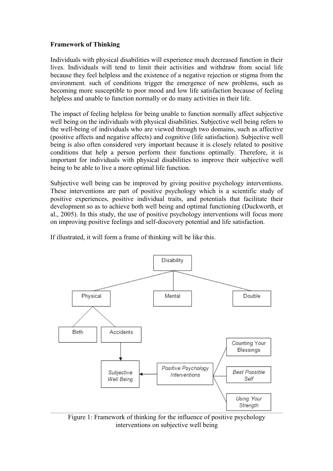## **Framework of Thinking**

Individuals with physical disabilities will experience much decreased function in their lives. Individuals will tend to limit their activities and withdraw from social life because they feel helpless and the existence of a negative rejection or stigma from the environment. such of conditions trigger the emergence of new problems, such as becoming more susceptible to poor mood and low life satisfaction because of feeling helpless and unable to function normally or do many activities in their life.

The impact of feeling helpless for being unable to function normally affect subjective well being on the individuals with physical disabilities. Subjective well being refers to the well-being of individuals who are viewed through two domains, such as affective (positive affects and negative affects) and cognitive (life satisfaction). Subjective well being is also often considered very important because it is closely related to positive conditions that help a person perform their functions optimally. Therefore, it is important for individuals with physical disabilities to improve their subjective well being to be able to live a more optimal life function.

Subjective well being can be improved by giving positive psychology interventions. These interventions are part of positive psychology which is a scientific study of positive experiences, positive individual traits, and potentials that facilitate their development so as to achieve both well being and optimal functioning (Duckworth, et al., 2005). In this study, the use of positive psychology interventions will focus more on improving positive feelings and self-discovery potential and life satisfaction.

If illustrated, it will form a frame of thinking will be like this.



Figure 1: Framework of thinking for the influence of positive psychology interventions on subjective well being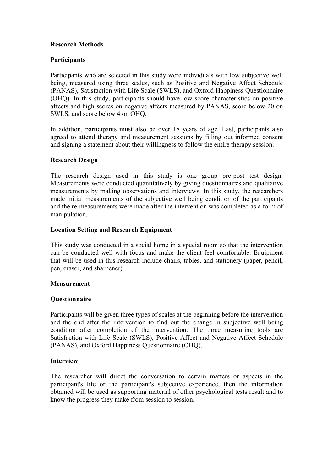## **Research Methods**

## **Participants**

Participants who are selected in this study were individuals with low subjective well being, measured using three scales, such as Positive and Negative Affect Schedule (PANAS), Satisfaction with Life Scale (SWLS), and Oxford Happiness Questionnaire (OHQ). In this study, participants should have low score characteristics on positive affects and high scores on negative affects measured by PANAS, score below 20 on SWLS, and score below 4 on OHQ.

In addition, participants must also be over 18 years of age. Last, participants also agreed to attend therapy and measurement sessions by filling out informed consent and signing a statement about their willingness to follow the entire therapy session.

## **Research Design**

The research design used in this study is one group pre-post test design. Measurements were conducted quantitatively by giving questionnaires and qualitative measurements by making observations and interviews. In this study, the researchers made initial measurements of the subjective well being condition of the participants and the re-measurements were made after the intervention was completed as a form of manipulation.

## **Location Setting and Research Equipment**

This study was conducted in a social home in a special room so that the intervention can be conducted well with focus and make the client feel comfortable. Equipment that will be used in this research include chairs, tables, and stationery (paper, pencil, pen, eraser, and sharpener).

#### **Measurement**

#### **Questionnaire**

Participants will be given three types of scales at the beginning before the intervention and the end after the intervention to find out the change in subjective well being condition after completion of the intervention. The three measuring tools are Satisfaction with Life Scale (SWLS), Positive Affect and Negative Affect Schedule (PANAS), and Oxford Happiness Questionnaire (OHQ).

#### **Interview**

The researcher will direct the conversation to certain matters or aspects in the participant's life or the participant's subjective experience, then the information obtained will be used as supporting material of other psychological tests result and to know the progress they make from session to session.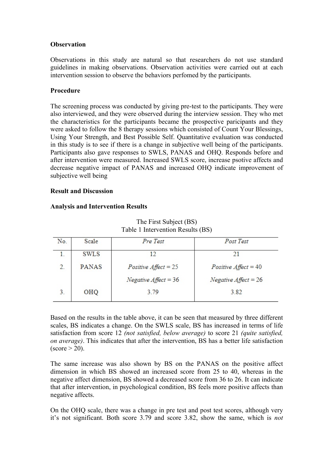## **Observation**

Observations in this study are natural so that researchers do not use standard guidelines in making observations. Observation activities were carried out at each intervention session to observe the behaviors perfomed by the participants.

## **Procedure**

The screening process was conducted by giving pre-test to the participants. They were also interviewed, and they were observed during the interview session. They who met the characteristics for the participants became the prospective paricipants and they were asked to follow the 8 therapy sessions which consisted of Count Your Blessings, Using Your Strength, and Best Possible Self. Quantitative evaluation was conducted in this study is to see if there is a change in subjective well being of the participants. Participants also gave responses to SWLS, PANAS and OHQ. Responds before and after intervention were measured. Increased SWLS score, increase psotive affects and decrease negative impact of PANAS and increased OHQ indicate improvement of subjective well being

#### **Result and Discussion**

| Table 1 Intervention Results (BS) |              |                        |                        |  |  |
|-----------------------------------|--------------|------------------------|------------------------|--|--|
| No.                               | Scale        | Pre Test               | Post Test              |  |  |
|                                   | <b>SWLS</b>  | 12                     | 21                     |  |  |
| 2.                                | <b>PANAS</b> | Positive $Affect = 25$ | Positive $Affect = 40$ |  |  |
|                                   |              | $Negative$ Affect = 36 | $Negative$ Affect = 26 |  |  |
| 3.                                | OHQ          | 3.79                   | 3.82                   |  |  |

#### **Analysis and Intervention Results**

The First Subject (BS)

Based on the results in the table above, it can be seen that measured by three different scales, BS indicates a change. On the SWLS scale, BS has increased in terms of life satisfaction from score 12 *(not satisfied, below average)* to score 21 *(quite satisfied, on average)*. This indicates that after the intervention, BS has a better life satisfaction  $\text{(score} > 20)$ .

The same increase was also shown by BS on the PANAS on the positive affect dimension in which BS showed an increased score from 25 to 40, whereas in the negative affect dimension, BS showed a decreased score from 36 to 26. It can indicate that after intervention, in psychological condition, BS feels more positive affects than negative affects.

On the OHQ scale, there was a change in pre test and post test scores, although very it's not significant. Both score 3.79 and score 3.82, show the same, which is *not*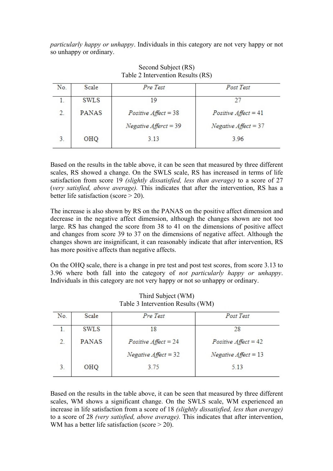*particularly happy or unhappy*. Individuals in this category are not very happy or not so unhappy or ordinary.

| No. | Scale       | Pre Test                | Post Test              |
|-----|-------------|-------------------------|------------------------|
| 1.  | <b>SWLS</b> | 19                      | 27                     |
| 2.  | PANAS       | Positive $Affect = 38$  | Positive $Affect = 41$ |
|     |             | $Negative$ Afferct = 39 | Negative $Affect = 37$ |
| 3.  | OHQ         | 3.13                    | 3.96                   |
|     |             |                         |                        |

Second Subject (RS) Table 2 Intervention Results (RS)

Based on the results in the table above, it can be seen that measured by three different scales, RS showed a change. On the SWLS scale, RS has increased in terms of life satisfaction from score 19 *(slightly dissatisfied, less than average)* to a score of 27 (*very satisfied, above average).* This indicates that after the intervention, RS has a better life satisfaction (score > 20).

The increase is also shown by RS on the PANAS on the positive affect dimension and decrease in the negative affect dimension, although the changes shown are not too large. RS has changed the score from 38 to 41 on the dimensions of positive affect and changes from score 39 to 37 on the dimensions of negative affect. Although the changes shown are insignificant, it can reasonably indicate that after intervention, RS has more positive affects than negative affects.

On the OHQ scale, there is a change in pre test and post test scores, from score 3.13 to 3.96 where both fall into the category of *not particularly happy or unhappy*. Individuals in this category are not very happy or not so unhappy or ordinary.

| No. | Scale        | Pre Test               | Post Test              |
|-----|--------------|------------------------|------------------------|
|     | <b>SWLS</b>  | 18                     | 28                     |
| 2.  | <b>PANAS</b> | Positive $Affect = 24$ | Positive $Affect = 42$ |
|     |              | $Negative$ Affect = 32 | $Negative$ Affect = 13 |
| 3.  | OHQ          | 375                    | 5.13                   |

Third Subject (WM) Table 3 Intervention Results (WM)

Based on the results in the table above, it can be seen that measured by three different scales, WM shows a significant change. On the SWLS scale, WM experienced an increase in life satisfaction from a score of 18 *(slightly dissatisfied, less than average)* to a score of 28 *(very satisfied, above average).* This indicates that after intervention, WM has a better life satisfaction (score > 20).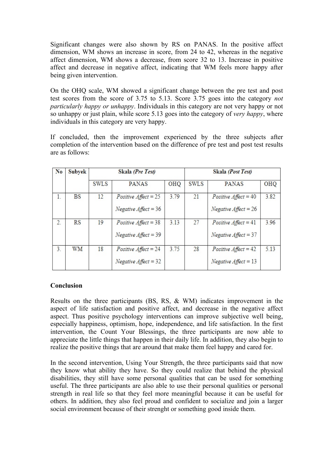Significant changes were also shown by RS on PANAS. In the positive affect dimension, WM shows an increase in score, from 24 to 42, whereas in the negative affect dimension, WM shows a decrease, from score 32 to 13. Increase in positive affect and decrease in negative affect, indicating that WM feels more happy after being given intervention.

On the OHQ scale, WM showed a significant change between the pre test and post test scores from the score of 3.75 to 5.13. Score 3.75 goes into the category *not particularly happy or unhappy*. Individuals in this category are not very happy or not so unhappy or just plain, while score 5.13 goes into the category of *very happy*, where individuals in this category are very happy.

If concluded, then the improvement experienced by the three subjects after completion of the intervention based on the difference of pre test and post test results are as follows:

| No           | Subyek | Skala (Pre Test) |                         |      | Skala (Post Test) |                        |      |
|--------------|--------|------------------|-------------------------|------|-------------------|------------------------|------|
|              |        | <b>SWLS</b>      | PANAS                   | OHQ  | <b>SWLS</b>       | PANAS                  | OHQ  |
| $\mathbf{1}$ | BS     | 12               | Positive $Affect = 25$  | 3.79 | 21                | Positive $Affect = 40$ | 3.82 |
|              |        |                  | $Negative$ $After = 36$ |      |                   | $Negative$ Affect = 26 |      |
| 2.           | RS     | 19               | Positive $Affect = 38$  | 3.13 | 27                | Positive $Affect = 41$ | 3.96 |
|              |        |                  | $Negative$ Affect = 39  |      |                   | $Negative$ Affect = 37 |      |
| 3.           | WМ     | 18               | Positive $Affect = 24$  | 3.75 | 28                | Positive $Affect = 42$ | 5.13 |
|              |        |                  | $Negative$ Affect = 32  |      |                   | $Negative$ Affect = 13 |      |

# **Conclusion**

Results on the three participants (BS, RS, & WM) indicates improvement in the aspect of life satisfaction and positive affect, and decrease in the negative affect aspect. Thus positive psychology interventions can improve subjective well being, especially happiness, optimism, hope, independence, and life satisfaction. In the first intervention, the Count Your Blessings, the three participants are now able to appreciate the little things that happen in their daily life. In addition, they also begin to realize the positive things that are around that make them feel happy and cared for.

In the second intervention, Using Your Strength, the three participants said that now they know what ability they have. So they could realize that behind the physical disabilities, they still have some personal qualities that can be used for something useful. The three participants are also able to use their personal qualities or personal strength in real life so that they feel more meaningful because it can be useful for others. In addition, they also feel proud and confident to socialize and join a larger social environment because of their strenght or something good inside them.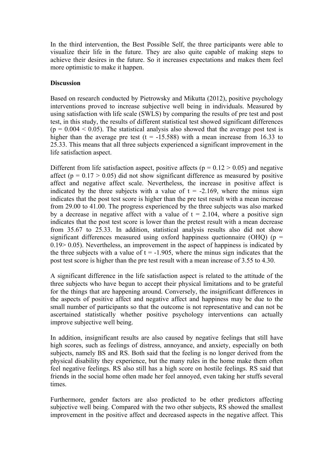In the third intervention, the Best Possible Self, the three participants were able to visualize their life in the future. They are also quite capable of making steps to achieve their desires in the future. So it increases expectations and makes them feel more optimistic to make it happen.

#### **Discussion**

Based on research conducted by Pietrowsky and Mikutta (2012), positive psychology interventions proved to increase subjective well being in individuals. Measured by using satisfaction with life scale (SWLS) by comparing the results of pre test and post test, in this study, the results of different statistical test showed significant differences  $(p = 0.004 \le 0.05)$ . The statistical analysis also showed that the average post test is higher than the average pre test ( $t = -15.588$ ) with a mean increase from 16.33 to 25.33. This means that all three subjects experienced a significant improvement in the life satisfaction aspect.

Different from life satisfaction aspect, positive affects ( $p = 0.12 > 0.05$ ) and negative affect ( $p = 0.17 > 0.05$ ) did not show significant difference as measured by positive affect and negative affect scale. Nevertheless, the increase in positive affect is indicated by the three subjects with a value of  $t = -2.169$ , where the minus sign indicates that the post test score is higher than the pre test result with a mean increase from 29.00 to 41.00. The progress experienced by the three subjects was also marked by a decrease in negative affect with a value of  $t = 2.104$ , where a positive sign indicates that the post test score is lower than the pretest result with a mean decrease from 35.67 to 25.33. In addition, statistical analysis results also did not show significant differences measured using oxford happiness quetionnaire (OHQ) ( $p =$ 0.19> 0.05). Nevertheless, an improvement in the aspect of happiness is indicated by the three subjects with a value of  $t = -1.905$ , where the minus sign indicates that the post test score is higher than the pre test result with a mean increase of 3.55 to 4.30.

A significant difference in the life satisfaction aspect is related to the attitude of the three subjects who have begun to accept their physical limitations and to be grateful for the things that are happening around. Conversely, the insignificant differences in the aspects of positive affect and negative affect and happiness may be due to the small number of participants so that the outcome is not representative and can not be ascertained statistically whether positive psychology interventions can actually improve subjective well being.

In addition, insignificant results are also caused by negative feelings that still have high scores, such as feelings of distress, annoyance, and anxiety, especially on both subjects, namely BS and RS. Both said that the feeling is no longer derived from the physical disability they experience, but the many rules in the home make them often feel negative feelings. RS also still has a high score on hostile feelings. RS said that friends in the social home often made her feel annoyed, even taking her stuffs several times.

Furthermore, gender factors are also predicted to be other predictors affecting subjective well being. Compared with the two other subjects, RS showed the smallest improvement in the positive affect and decreased aspects in the negative affect. This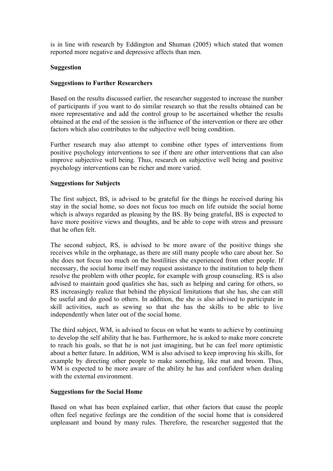is in line with research by Eddington and Shuman (2005) which stated that women reported more negative and depressive affects than men.

## **Suggestion**

## **Suggestions to Further Researchers**

Based on the results discussed earlier, the researcher suggested to increase the number of participants if you want to do similar research so that the results obtained can be more representative and add the control group to be ascertained whether the results obtained at the end of the session is the influence of the intervention or there are other factors which also contributes to the subjective well being condition.

Further research may also attempt to combine other types of interventions from positive psychology interventions to see if there are other interventions that can also improve subjective well being. Thus, research on subjective well being and positive psychology interventions can be richer and more varied.

## **Suggestions for Subjects**

The first subject, BS, is advised to be grateful for the things he received during his stay in the social home, so does not focus too much on life outside the social home which is always regarded as pleasing by the BS. By being grateful, BS is expected to have more positive views and thoughts, and be able to cope with stress and pressure that he often felt.

The second subject, RS, is advised to be more aware of the positive things she receives while in the orphanage, as there are still many people who care about her. So she does not focus too much on the hostilities she experienced from other people. If necessary, the social home itself may request assistance to the institution to help them resolve the problem with other people, for example with group counseling. RS is also advised to maintain good qualities she has, such as helping and caring for others, so RS increasingly realize that behind the physical limitations that she has, she can still be useful and do good to others. In addition, the she is also advised to participate in skill activities, such as sewing so that she has the skills to be able to live independently when later out of the social home.

The third subject, WM, is advised to focus on what he wants to achieve by continuing to develop the self ability that he has. Furthermore, he is asked to make more concrete to reach his goals, so that he is not just imagining, but he can feel more optimistic about a better future. In addition, WM is also advised to keep improving his skills, for example by directing other people to make something, like mat and broom. Thus, WM is expected to be more aware of the ability he has and confident when dealing with the external environment.

# **Suggestions for the Social Home**

Based on what has been explained earlier, that other factors that cause the people often feel negative feelings are the condition of the social home that is considered unpleasant and bound by many rules. Therefore, the researcher suggested that the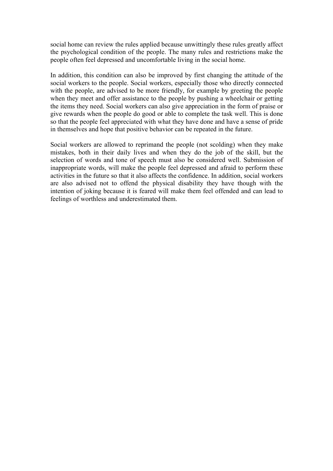social home can review the rules applied because unwittingly these rules greatly affect the psychological condition of the people. The many rules and restrictions make the people often feel depressed and uncomfortable living in the social home.

In addition, this condition can also be improved by first changing the attitude of the social workers to the people. Social workers, especially those who directly connected with the people, are advised to be more friendly, for example by greeting the people when they meet and offer assistance to the people by pushing a wheelchair or getting the items they need. Social workers can also give appreciation in the form of praise or give rewards when the people do good or able to complete the task well. This is done so that the people feel appreciated with what they have done and have a sense of pride in themselves and hope that positive behavior can be repeated in the future.

Social workers are allowed to reprimand the people (not scolding) when they make mistakes, both in their daily lives and when they do the job of the skill, but the selection of words and tone of speech must also be considered well. Submission of inappropriate words, will make the people feel depressed and afraid to perform these activities in the future so that it also affects the confidence. In addition, social workers are also advised not to offend the physical disability they have though with the intention of joking because it is feared will make them feel offended and can lead to feelings of worthless and underestimated them.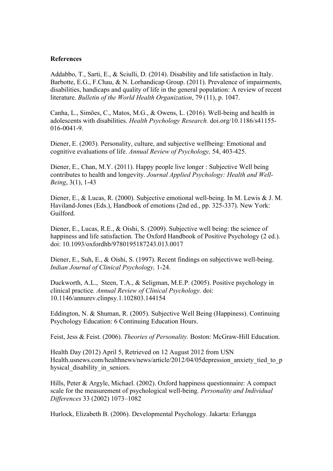#### **References**

Addabbo, T., Sarti, E., & Sciulli, D. (2014). Disability and life satisfaction in Italy. Barbotte, E.G., F.Chau, & N. Lorhandicap Group. (2011). Prevalence of impairments, disabilities, handicaps and quality of life in the general population: A review of recent literature. *Bulletin of the World Health Organization*, 79 (11), p. 1047.

Canha, L., Simões, C., Matos, M.G., & Owens, L. (2016). Well-being and health in adolescents with disabilities. *Health Psychology Research.* doi.org/10.1186/s41155- 016-0041-9.

Diener, E. (2003). Personality, culture, and subjective wellbeing: Emotional and cognitive evaluations of life. *Annual Review of Psychology,* 54, 403-425.

Diener, E., Chan, M.Y. (2011). Happy people live longer : Subjective Well being contributes to health and longevity. *Journal Applied Psychology: Health and Well-Being*, 3(1), 1-43

Diener, E., & Lucas, R. (2000). Subjective emotional well-being. In M. Lewis & J. M. Haviland-Jones (Eds.), Handbook of emotions (2nd ed., pp. 325-337). New York: Guilford.

Diener, E., Lucas, R.E., & Oishi, S. (2009). Subjective well being: the science of happiness and life satisfaction. The Oxford Handbook of Positive Psychology (2 ed.). doi: 10.1093/oxfordhb/9780195187243.013.0017

Diener, E., Suh, E., & Oishi, S. (1997). Recent findings on subjectivwe well-being. *Indian Journal of Clinical Psychology,* 1-24.

Duckworth, A.L., Steen, T.A., & Seligman, M.E.P. (2005). Positive psychology in clinical practice. *Annual Review of Clinical Psychology.* doi: 10.1146/annurev.clinpsy.1.102803.144154

Eddington, N. & Shuman, R. (2005). Subjective Well Being (Happiness). Continuing Psychology Education: 6 Continuing Education Hours.

Feist, Jess & Feist. (2006). *Theories of Personality.* Boston: McGraw-Hill Education.

Health Day (2012) April 5, Retrieved on 12 August 2012 from USN Health.usnews.com/healthnews/news/article/2012/04/05depression\_anxiety\_tied\_to\_p hysical disability in seniors.

Hills, Peter & Argyle, Michael. (2002). Oxford happiness questionnaire: A compact scale for the measurement of psychological well-being. *Personality and Individual Differences* 33 (2002) 1073–1082

Hurlock, Elizabeth B. (2006). Developmental Psychology. Jakarta: Erlangga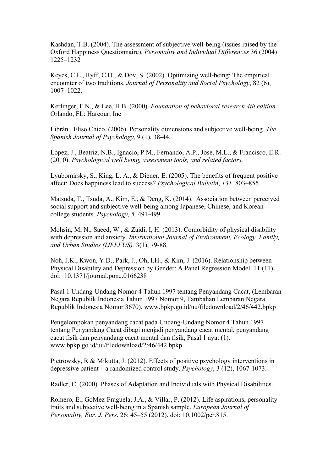Kashdan, T.B. (2004). The assessment of subjective well-being (issues raised by the Oxford Happiness Questionnaire). *Personality and Individual Differences* 36 (2004) 1225–1232

Keyes, C.L., Ryff, C.D., & Dov, S. (2002). Optimizing well-being: The empirical encounter of two traditions. *Journal of Personality and Social Psychology*, 82 (6), 1007–1022.

Kerlinger, F.N., & Lee, H.B. (2000). *Foundation of behavioral research 4th edition.*  Orlando, FL: Harcourt Inc

Librán , Eliso Chico. (2006). Personality dimensions and subjective well-being. *The Spanish Journal of Psychology,* 9 (1), 38-44.

López, J., Beatriz, N.B., Ignacio, P.M., Fernando, A.P., Jose, M.L., & Francisco, E.R. (2010). *Psychological well being, assessment tools, and related factors.*

Lyubomirsky, S., King, L. A., & Diener, E. (2005). The benefits of frequent positive affect: Does happiness lead to success? *Psychological Bulletin*, *131*, 803–855.

Matsuda, T., Tsuda, A., Kim, E., & Deng, K. (2014). Association between perceived social support and subjective well-being among Japanese, Chinese, and Korean college students. *Psychology, 5,* 491-499.

Mohsin, M, N., Saeed, W., & Zaidi, I, H. (2013). Comorbidity of physical disability with depression and anxiety. *International Journal of Environment, Ecology, Family, and Urban Studies (IJEEFUS).* 3(1), 79-88.

Noh, J.K., Kwon, Y.D., Park, J., Oh, I.H., & Kim, J. (2016). Relationship between Physical Disability and Depression by Gender: A Panel Regression Model. 11 (11). doi: 10.1371/journal.pone.0166238

Pasal 1 Undang-Undang Nomor 4 Tahun 1997 tentang Penyandang Cacat, (Lembaran Negara Republik Indonesia Tahun 1997 Nomor 9, Tambahan Lembaran Negara Republik Indonesia Nomor 3670). www.bpkp.go.id/uu/filedownload/2/46/442.bpkp

Pengelompokan penyandang cacat pada Undang-Undang Nomor 4 Tahun 1997 tentang Penyandang Cacat dibagi menjadi penyandang cacat mental, penyandang cacat fisik dan penyandang cacat mental dan fisik, Pasal 1 ayat (1). www.bpkp.go.id/uu/filedownload/2/46/442.bpkp

Pietrowsky, R & Mikutta, J. (2012). Effects of positive psychology interventions in depressive patient – a randomized control study. *Psychology*, 3 (12), 1067-1073.

Radler, C. (2000). Phases of Adaptation and Individuals with Physical Disabilities.

Romero, E., GoMez-Fraguela, J.A., & Villar, P. (2012). Life aspirations, personality traits and subjective well-being in a Spanish sample. *European Journal of Personality, Eur. J. Pers*. 26: 45–55 (2012). doi: 10.1002/per.815.